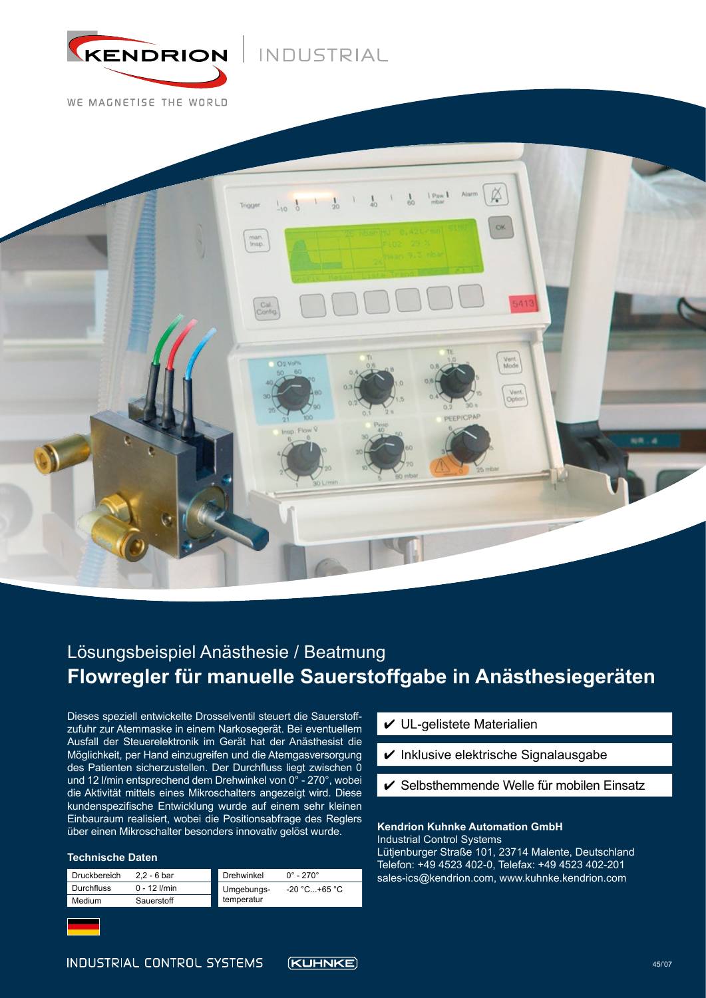

# INDUSTRIAL

WE MAGNETISE THE WORLD



# **Flowregler für manuelle Sauerstoffgabe in Anästhesiegeräten** Lösungsbeispiel Anästhesie / Beatmung

Dieses speziell entwickelte Drosselventil steuert die Sauerstoffzufuhr zur Atemmaske in einem Narkosegerät. Bei eventuellem Ausfall der Steuerelektronik im Gerät hat der Anästhesist die Möglichkeit, per Hand einzugreifen und die Atemgasversorgung des Patienten sicherzustellen. Der Durchfluss liegt zwischen 0 und 12 l/min entsprechend dem Drehwinkel von 0° - 270°, wobei die Aktivität mittels eines Mikroschalters angezeigt wird. Diese kundenspezifische Entwicklung wurde auf einem sehr kleinen Einbauraum realisiert, wobei die Positionsabfrage des Reglers über einen Mikroschalter besonders innovativ gelöst wurde.

#### **Technische Daten**

| <b>Druckbereich</b> | $2.2 - 6$ bar  | Drehwinkel | $0^{\circ}$ - 270 $^{\circ}$ |
|---------------------|----------------|------------|------------------------------|
| <b>Durchfluss</b>   | $0 - 12$ I/min | Umgebungs- | $-20$ °C +65 °C              |
| Medium              | Sauerstoff     | temperatur |                              |

### $\nu$  UL-gelistete Materialien

- $\vee$  Inklusive elektrische Signalausgabe
- $\checkmark$  Selbsthemmende Welle für mobilen Einsatz

## **Kendrion Kuhnke Automation GmbH**

Industrial Control Systems Lütjenburger Straße 101, 23714 Malente, Deutschland Telefon: +49 4523 402-0, Telefax: +49 4523 402-201 sales-ics@kendrion.com, www.kuhnke.kendrion.com